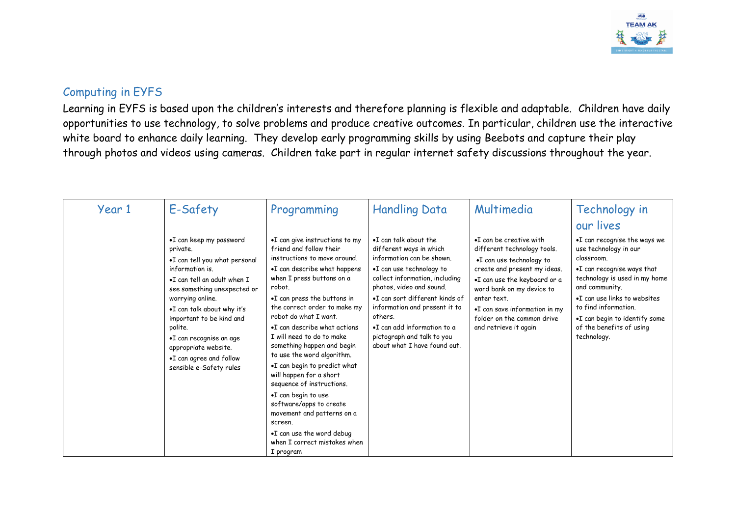

## Computing in EYFS

Learning in EYFS is based upon the children's interests and therefore planning is flexible and adaptable. Children have daily opportunities to use technology, to solve problems and produce creative outcomes. In particular, children use the interactive white board to enhance daily learning. They develop early programming skills by using Beebots and capture their play through photos and videos using cameras. Children take part in regular internet safety discussions throughout the year.

| Year 1 | E-Safety                                                                                                                                                                                                                                                                                                                                                          | Programming                                                                                                                                                                                                                                                                                                                                                                                                                                                                                                                                                                                                                                    | <b>Handling Data</b>                                                                                                                                                                                                                                                                                                                                        | Multimedia                                                                                                                                                                                                                                                                                      | Technology in<br>our lives                                                                                                                                                                                                                                                               |
|--------|-------------------------------------------------------------------------------------------------------------------------------------------------------------------------------------------------------------------------------------------------------------------------------------------------------------------------------------------------------------------|------------------------------------------------------------------------------------------------------------------------------------------------------------------------------------------------------------------------------------------------------------------------------------------------------------------------------------------------------------------------------------------------------------------------------------------------------------------------------------------------------------------------------------------------------------------------------------------------------------------------------------------------|-------------------------------------------------------------------------------------------------------------------------------------------------------------------------------------------------------------------------------------------------------------------------------------------------------------------------------------------------------------|-------------------------------------------------------------------------------------------------------------------------------------------------------------------------------------------------------------------------------------------------------------------------------------------------|------------------------------------------------------------------------------------------------------------------------------------------------------------------------------------------------------------------------------------------------------------------------------------------|
|        | •I can keep my password<br>private.<br>•I can tell you what personal<br>information is.<br>. I can tell an adult when I<br>see something unexpected or<br>worrying online.<br>.I can talk about why it's<br>important to be kind and<br>polite.<br>$\bullet$ I can recognise an age<br>appropriate website.<br>•I can agree and follow<br>sensible e-Safety rules | •I can give instructions to my<br>friend and follow their<br>instructions to move around.<br>•I can describe what happens<br>when I press buttons on a<br>robot.<br>•I can press the buttons in<br>the correct order to make my<br>robot do what I want.<br>•I can describe what actions<br>I will need to do to make<br>something happen and begin<br>to use the word algorithm.<br>.I can begin to predict what<br>will happen for a short<br>sequence of instructions.<br>•I can begin to use<br>software/apps to create<br>movement and patterns on a<br>screen.<br>•I can use the word debug<br>when I correct mistakes when<br>I program | $\bullet$ I can talk about the<br>different ways in which<br>information can be shown.<br>•I can use technology to<br>collect information, including<br>photos, video and sound.<br>•I can sort different kinds of<br>information and present it to<br>others.<br>•I can add information to a<br>pictograph and talk to you<br>about what I have found out. | $\bullet$ I can be creative with<br>different technology tools.<br>•I can use technology to<br>create and present my ideas.<br>.I can use the keyboard or a<br>word bank on my device to<br>enter text.<br>•I can save information in my<br>folder on the common drive<br>and retrieve it again | •I can recognise the ways we<br>use technology in our<br>classroom.<br>.I can recognise ways that<br>technology is used in my home<br>and community.<br>•I can use links to websites<br>to find information.<br>•I can begin to identify some<br>of the benefits of using<br>technology. |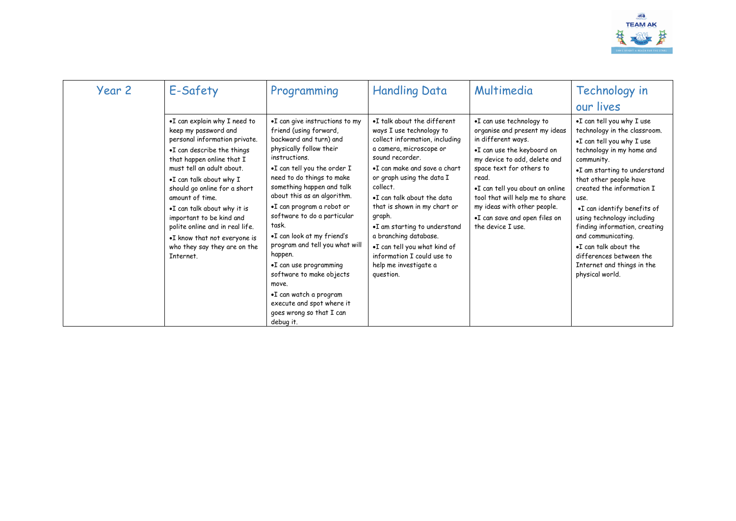

| Year 2 | E-Safety                                                                                                                                                                                                                                                                                                                                                                                                                               | Programming                                                                                                                                                                                                                                                                                                                                                                                                                                                                                                                                                                    | <b>Handling Data</b>                                                                                                                                                                                                                                                                                                                                                                                                                                  | Multimedia                                                                                                                                                                                                                                                                                                                                    | Technology in<br>our lives                                                                                                                                                                                                                                                                                                                                                                                                                                |
|--------|----------------------------------------------------------------------------------------------------------------------------------------------------------------------------------------------------------------------------------------------------------------------------------------------------------------------------------------------------------------------------------------------------------------------------------------|--------------------------------------------------------------------------------------------------------------------------------------------------------------------------------------------------------------------------------------------------------------------------------------------------------------------------------------------------------------------------------------------------------------------------------------------------------------------------------------------------------------------------------------------------------------------------------|-------------------------------------------------------------------------------------------------------------------------------------------------------------------------------------------------------------------------------------------------------------------------------------------------------------------------------------------------------------------------------------------------------------------------------------------------------|-----------------------------------------------------------------------------------------------------------------------------------------------------------------------------------------------------------------------------------------------------------------------------------------------------------------------------------------------|-----------------------------------------------------------------------------------------------------------------------------------------------------------------------------------------------------------------------------------------------------------------------------------------------------------------------------------------------------------------------------------------------------------------------------------------------------------|
|        | .I can explain why I need to<br>keep my password and<br>personal information private.<br>•I can describe the things<br>that happen online that I<br>must tell an adult about.<br>.I can talk about why I<br>should go online for a short<br>amount of time.<br>.I can talk about why it is<br>important to be kind and<br>polite online and in real life.<br>.I know that not everyone is<br>who they say they are on the<br>Internet. | •I can give instructions to my<br>friend (using forward,<br>backward and turn) and<br>physically follow their<br>instructions.<br>.I can tell you the order I<br>need to do things to make<br>something happen and talk<br>about this as an algorithm.<br>•I can program a robot or<br>software to do a particular<br>task.<br>•I can look at my friend's<br>program and tell you what will<br>happen.<br>$\bullet$ I can use programming<br>software to make objects<br>move.<br>•I can watch a program<br>execute and spot where it<br>goes wrong so that I can<br>debug it. | •I talk about the different<br>ways I use technology to<br>collect information, including<br>a camera, microscope or<br>sound recorder.<br>•I can make and save a chart<br>or graph using the data I<br>collect.<br>.I can talk about the data<br>that is shown in my chart or<br>graph.<br>.I am starting to understand<br>a branching database.<br>.I can tell you what kind of<br>information I could use to<br>help me investigate a<br>question. | .I can use technology to<br>organise and present my ideas<br>in different ways.<br>•I can use the keyboard on<br>my device to add, delete and<br>space text for others to<br>read.<br>.I can tell you about an online<br>tool that will help me to share<br>my ideas with other people.<br>•I can save and open files on<br>the device I use. | .I can tell you why I use<br>technology in the classroom.<br>•I can tell you why I use<br>technology in my home and<br>community.<br>•I am starting to understand<br>that other people have<br>created the information I<br>use.<br>.I can identify benefits of<br>using technology including<br>finding information, creating<br>and communicating.<br>.I can talk about the<br>differences between the<br>Internet and things in the<br>physical world. |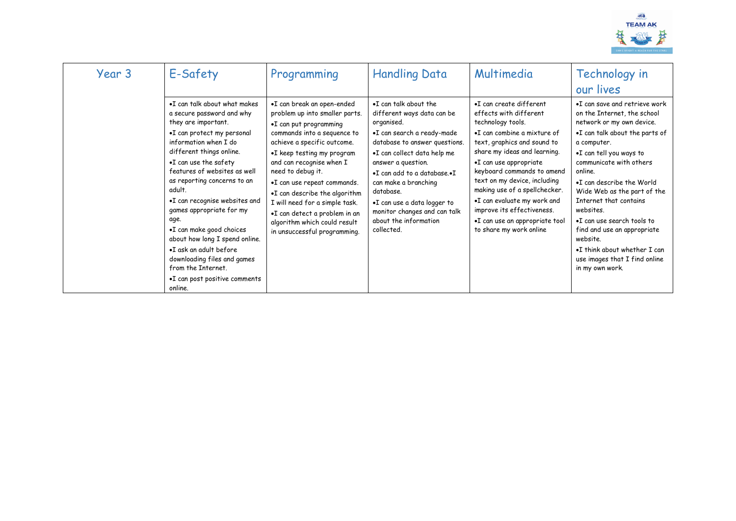

| Year 3 | E-Safety                                                                                                                                                                                                                                                                                                                                                                                                                                                                                                                                     | Programming                                                                                                                                                                                                                                                                                                                                                                                                                            | <b>Handling Data</b>                                                                                                                                                                                                                                                                                                                                            | Multimedia                                                                                                                                                                                                                                                                                                                                                                                                              | Technology in<br>our lives                                                                                                                                                                                                                                                                                                                                                                                                                                                   |
|--------|----------------------------------------------------------------------------------------------------------------------------------------------------------------------------------------------------------------------------------------------------------------------------------------------------------------------------------------------------------------------------------------------------------------------------------------------------------------------------------------------------------------------------------------------|----------------------------------------------------------------------------------------------------------------------------------------------------------------------------------------------------------------------------------------------------------------------------------------------------------------------------------------------------------------------------------------------------------------------------------------|-----------------------------------------------------------------------------------------------------------------------------------------------------------------------------------------------------------------------------------------------------------------------------------------------------------------------------------------------------------------|-------------------------------------------------------------------------------------------------------------------------------------------------------------------------------------------------------------------------------------------------------------------------------------------------------------------------------------------------------------------------------------------------------------------------|------------------------------------------------------------------------------------------------------------------------------------------------------------------------------------------------------------------------------------------------------------------------------------------------------------------------------------------------------------------------------------------------------------------------------------------------------------------------------|
|        | •I can talk about what makes<br>a secure password and why<br>they are important.<br>•I can protect my personal<br>information when I do<br>different things online.<br>$\bullet$ I can use the safety<br>features of websites as well<br>as reporting concerns to an<br>adult.<br>•I can recognise websites and<br>games appropriate for my<br>age.<br>•I can make good choices<br>about how long I spend online.<br>•I ask an adult before<br>downloading files and games<br>from the Internet.<br>•I can post positive comments<br>online. | •I can break an open-ended<br>problem up into smaller parts.<br>•I can put programming<br>commands into a sequence to<br>achieve a specific outcome.<br>•I keep testing my program<br>and can recognise when I<br>need to debug it.<br>•I can use repeat commands.<br>.I can describe the algorithm<br>I will need for a simple task.<br>•I can detect a problem in an<br>algorithm which could result<br>in unsuccessful programming. | .I can talk about the<br>different ways data can be<br>organised.<br>•I can search a ready-made<br>database to answer questions.<br>.I can collect data help me<br>answer a question.<br>•I can add to a database.•I<br>can make a branching<br>database.<br>.I can use a data logger to<br>monitor changes and can talk<br>about the information<br>collected. | •I can create different<br>effects with different<br>technology tools.<br>•I can combine a mixture of<br>text, graphics and sound to<br>share my ideas and learning.<br>•I can use appropriate<br>keyboard commands to amend<br>text on my device, including<br>making use of a spellchecker.<br>.I can evaluate my work and<br>improve its effectiveness.<br>•I can use an appropriate tool<br>to share my work online | •I can save and retrieve work<br>on the Internet, the school<br>network or my own device.<br>•I can talk about the parts of<br>a computer.<br>•I can tell you ways to<br>communicate with others<br>online.<br>. I can describe the World<br>Wide Web as the part of the<br>Internet that contains<br>websites.<br>.I can use search tools to<br>find and use an appropriate<br>website.<br>•I think about whether I can<br>use images that I find online<br>in my own work. |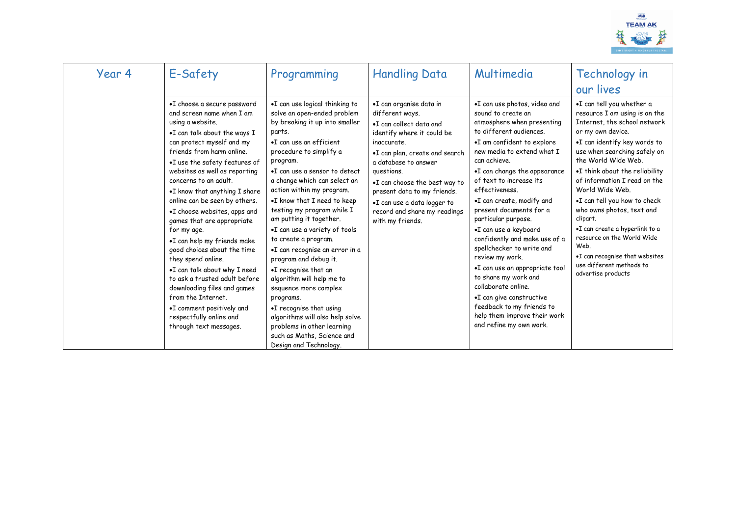

| Year 4 | E-Safety                                                                                                                                                                                                                                                                                                                                                                                                                                                                                                                                                                                                                                                                                                              | Programming                                                                                                                                                                                                                                                                                                                                                                                                                                                                                                                                                                                                                                                                                                                          | <b>Handling Data</b>                                                                                                                                                                                                                                                                                                                           | Multimedia                                                                                                                                                                                                                                                                                                                                                                                                                                                                                                                                                                                                                                                         | Technology in<br>our lives                                                                                                                                                                                                                                                                                                                                                                                                                                                                                                       |
|--------|-----------------------------------------------------------------------------------------------------------------------------------------------------------------------------------------------------------------------------------------------------------------------------------------------------------------------------------------------------------------------------------------------------------------------------------------------------------------------------------------------------------------------------------------------------------------------------------------------------------------------------------------------------------------------------------------------------------------------|--------------------------------------------------------------------------------------------------------------------------------------------------------------------------------------------------------------------------------------------------------------------------------------------------------------------------------------------------------------------------------------------------------------------------------------------------------------------------------------------------------------------------------------------------------------------------------------------------------------------------------------------------------------------------------------------------------------------------------------|------------------------------------------------------------------------------------------------------------------------------------------------------------------------------------------------------------------------------------------------------------------------------------------------------------------------------------------------|--------------------------------------------------------------------------------------------------------------------------------------------------------------------------------------------------------------------------------------------------------------------------------------------------------------------------------------------------------------------------------------------------------------------------------------------------------------------------------------------------------------------------------------------------------------------------------------------------------------------------------------------------------------------|----------------------------------------------------------------------------------------------------------------------------------------------------------------------------------------------------------------------------------------------------------------------------------------------------------------------------------------------------------------------------------------------------------------------------------------------------------------------------------------------------------------------------------|
|        | •I choose a secure password<br>and screen name when I am<br>using a website.<br>.I can talk about the ways I<br>can protect myself and my<br>friends from harm online.<br>•I use the safety features of<br>websites as well as reporting<br>concerns to an adult.<br>$\bullet$ I know that anything I share<br>online can be seen by others.<br>.I choose websites, apps and<br>games that are appropriate<br>for my age.<br>•I can help my friends make<br>good choices about the time<br>they spend online.<br>.I can talk about why I need<br>to ask a trusted adult before<br>downloading files and games<br>from the Internet.<br>•I comment positively and<br>respectfully online and<br>through text messages. | .I can use logical thinking to<br>solve an open-ended problem<br>by breaking it up into smaller<br>parts.<br>•I can use an efficient<br>procedure to simplify a<br>program.<br>•I can use a sensor to detect<br>a change which can select an<br>action within my program.<br>.I know that I need to keep<br>testing my program while I<br>am putting it together.<br>.I can use a variety of tools<br>to create a program.<br>•I can recognise an error in a<br>program and debug it.<br>.I recognise that an<br>algorithm will help me to<br>sequence more complex<br>programs.<br>•I recognise that using<br>algorithms will also help solve<br>problems in other learning<br>such as Maths, Science and<br>Design and Technology. | .I can organise data in<br>different ways.<br>. I can collect data and<br>identify where it could be<br>inaccurate.<br>•I can plan, create and search<br>a database to answer<br>questions.<br>.I can choose the best way to<br>present data to my friends.<br>•I can use a data logger to<br>record and share my readings<br>with my friends. | .I can use photos, video and<br>sound to create an<br>atmosphere when presenting<br>to different audiences.<br>•I am confident to explore<br>new media to extend what I<br>can achieve.<br>•I can change the appearance<br>of text to increase its<br>effectiveness.<br>•I can create, modify and<br>present documents for a<br>particular purpose.<br>•I can use a keyboard<br>confidently and make use of a<br>spellchecker to write and<br>review my work.<br>.I can use an appropriate tool<br>to share my work and<br>collaborate online.<br>•I can give constructive<br>feedback to my friends to<br>help them improve their work<br>and refine my own work. | .I can tell you whether a<br>resource I am using is on the<br>Internet, the school network<br>or my own device.<br>.I can identify key words to<br>use when searching safely on<br>the World Wide Web.<br>.I think about the reliability<br>of information I read on the<br>World Wide Web.<br>•I can tell you how to check<br>who owns photos, text and<br>clipart.<br>.I can create a hyperlink to a<br>resource on the World Wide<br>Web.<br>.I can recognise that websites<br>use different methods to<br>advertise products |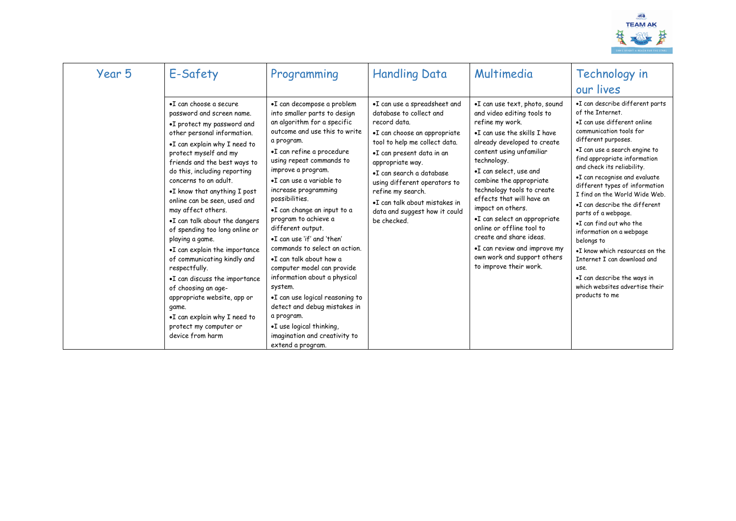

| Year 5 | E-Safety                                                                                                                                                                                                                                                                                                                                                                                                                                                                                                                                                                                                                                                                                                               | Programming                                                                                                                                                                                                                                                                                                                                                                                                                                                                                                                                                                                                                                                                                                     | <b>Handling Data</b>                                                                                                                                                                                                                                                                                                                                        | Multimedia                                                                                                                                                                                                                                                                                                                                                                                                                                                                                                     | Technology in<br>our lives                                                                                                                                                                                                                                                                                                                                                                                                                                                                                                                                                                                                       |
|--------|------------------------------------------------------------------------------------------------------------------------------------------------------------------------------------------------------------------------------------------------------------------------------------------------------------------------------------------------------------------------------------------------------------------------------------------------------------------------------------------------------------------------------------------------------------------------------------------------------------------------------------------------------------------------------------------------------------------------|-----------------------------------------------------------------------------------------------------------------------------------------------------------------------------------------------------------------------------------------------------------------------------------------------------------------------------------------------------------------------------------------------------------------------------------------------------------------------------------------------------------------------------------------------------------------------------------------------------------------------------------------------------------------------------------------------------------------|-------------------------------------------------------------------------------------------------------------------------------------------------------------------------------------------------------------------------------------------------------------------------------------------------------------------------------------------------------------|----------------------------------------------------------------------------------------------------------------------------------------------------------------------------------------------------------------------------------------------------------------------------------------------------------------------------------------------------------------------------------------------------------------------------------------------------------------------------------------------------------------|----------------------------------------------------------------------------------------------------------------------------------------------------------------------------------------------------------------------------------------------------------------------------------------------------------------------------------------------------------------------------------------------------------------------------------------------------------------------------------------------------------------------------------------------------------------------------------------------------------------------------------|
|        | •I can choose a secure<br>password and screen name.<br>•I protect my password and<br>other personal information.<br>.I can explain why I need to<br>protect myself and my<br>friends and the best ways to<br>do this, including reporting<br>concerns to an adult.<br>$\bullet$ I know that anything I post<br>online can be seen, used and<br>may affect others.<br>•I can talk about the dangers<br>of spending too long online or<br>playing a game.<br>•I can explain the importance<br>of communicating kindly and<br>respectfully.<br>•I can discuss the importance<br>of choosing an age-<br>appropriate website, app or<br>game.<br>•I can explain why I need to<br>protect my computer or<br>device from harm | •I can decompose a problem<br>into smaller parts to design<br>an algorithm for a specific<br>outcome and use this to write<br>a program.<br>•I can refine a procedure<br>using repeat commands to<br>improve a program.<br>•I can use a variable to<br>increase programming<br>possibilities.<br>•I can change an input to a<br>program to achieve a<br>different output.<br>.I can use 'if' and 'then'<br>commands to select an action.<br>.I can talk about how a<br>computer model can provide<br>information about a physical<br>system.<br>.I can use logical reasoning to<br>detect and debug mistakes in<br>a program.<br>.I use logical thinking,<br>imagination and creativity to<br>extend a program. | •I can use a spreadsheet and<br>database to collect and<br>record data.<br>•I can choose an appropriate<br>tool to help me collect data.<br>.I can present data in an<br>appropriate way.<br>•I can search a database<br>using different operators to<br>refine my search.<br>•I can talk about mistakes in<br>data and suggest how it could<br>be checked. | .I can use text, photo, sound<br>and video editing tools to<br>refine my work.<br>.I can use the skills I have<br>already developed to create<br>content using unfamiliar<br>technology.<br>.I can select, use and<br>combine the appropriate<br>technology tools to create<br>effects that will have an<br>impact on others.<br>•I can select an appropriate<br>online or offline tool to<br>create and share ideas.<br>•I can review and improve my<br>own work and support others<br>to improve their work. | •I can describe different parts<br>of the Internet.<br>•I can use different online<br>communication tools for<br>different purposes.<br>•I can use a search engine to<br>find appropriate information<br>and check its reliability.<br>•I can recognise and evaluate<br>different types of information<br>I find on the World Wide Web.<br>•I can describe the different<br>parts of a webpage.<br>.I can find out who the<br>information on a webpage<br>belongs to<br>•I know which resources on the<br>Internet I can download and<br>use.<br>•I can describe the ways in<br>which websites advertise their<br>products to me |